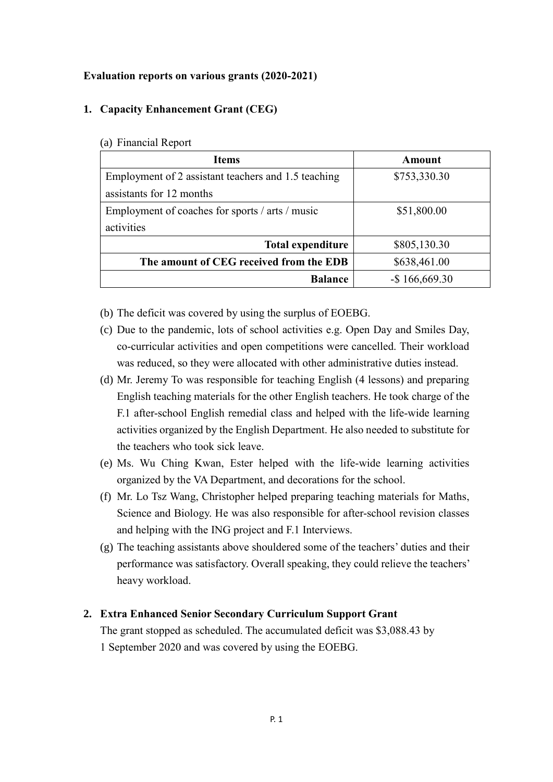#### **Evaluation reports on various grants (2020-2021)**

### **1. Capacity Enhancement Grant (CEG)**

| <b>Items</b>                                        | Amount           |
|-----------------------------------------------------|------------------|
| Employment of 2 assistant teachers and 1.5 teaching | \$753,330.30     |
| assistants for 12 months                            |                  |
| Employment of coaches for sports / arts / music     | \$51,800.00      |
| activities                                          |                  |
| <b>Total expenditure</b>                            | \$805,130.30     |
| The amount of CEG received from the EDB             | \$638,461.00     |
| <b>Balance</b>                                      | $-$ \$166,669.30 |

#### (a) Financial Report

- (b) The deficit was covered by using the surplus of EOEBG.
- (c) Due to the pandemic, lots of school activities e.g. Open Day and Smiles Day, co-curricular activities and open competitions were cancelled. Their workload was reduced, so they were allocated with other administrative duties instead.
- (d) Mr. Jeremy To was responsible for teaching English (4 lessons) and preparing English teaching materials for the other English teachers. He took charge of the F.1 after-school English remedial class and helped with the life-wide learning activities organized by the English Department. He also needed to substitute for the teachers who took sick leave.
- (e) Ms. Wu Ching Kwan, Ester helped with the life-wide learning activities organized by the VA Department, and decorations for the school.
- (f) Mr. Lo Tsz Wang, Christopher helped preparing teaching materials for Maths, Science and Biology. He was also responsible for after-school revision classes and helping with the ING project and F.1 Interviews.
- (g) The teaching assistants above shouldered some of the teachers' duties and their performance was satisfactory. Overall speaking, they could relieve the teachers' heavy workload.

## **2. Extra Enhanced Senior Secondary Curriculum Support Grant**

The grant stopped as scheduled. The accumulated deficit was \$3,088.43 by 1 September 2020 and was covered by using the EOEBG.